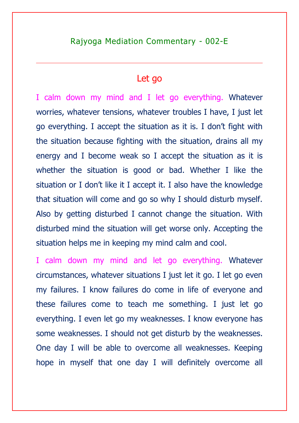### Let go

I calm down my mind and I let go everything. Whatever worries, whatever tensions, whatever troubles I have, I just let go everything. I accept the situation as it is. I don't fight with the situation because fighting with the situation, drains all my energy and I become weak so I accept the situation as it is whether the situation is good or bad. Whether I like the situation or I don't like it I accept it. I also have the knowledge that situation will come and go so why I should disturb myself. Also by getting disturbed I cannot change the situation. With disturbed mind the situation will get worse only. Accepting the situation helps me in keeping my mind calm and cool.

I calm down my mind and let go everything. Whatever circumstances, whatever situations I just let it go. I let go even my failures. I know failures do come in life of everyone and these failures come to teach me something. I just let go everything. I even let go my weaknesses. I know everyone has some weaknesses. I should not get disturb by the weaknesses. One day I will be able to overcome all weaknesses. Keeping hope in myself that one day I will definitely overcome all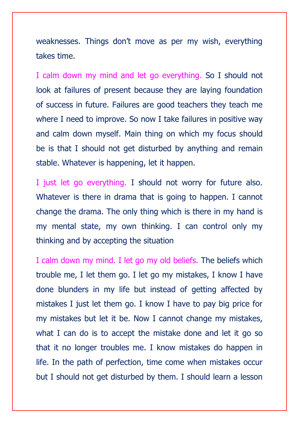weaknesses. Things don't move as per my wish, everything takes time.

I calm down my mind and let go everything. So I should not look at failures of present because they are laying foundation of success in future. Failures are good teachers they teach me where I need to improve. So now I take failures in positive way and calm down myself. Main thing on which my focus should be is that I should not get disturbed by anything and remain stable. Whatever is happening, let it happen.

I just let go everything. I should not worry for future also. Whatever is there in drama that is going to happen. I cannot change the drama. The only thing which is there in my hand is my mental state, my own thinking. I can control only my thinking and by accepting the situation

I calm down my mind. I let go my old beliefs. The beliefs which trouble me, I let them go. I let go my mistakes, I know I have done blunders in my life but instead of getting affected by mistakes I just let them go. I know I have to pay big price for my mistakes but let it be. Now I cannot change my mistakes, what I can do is to accept the mistake done and let it go so that it no longer troubles me. I know mistakes do happen in life. In the path of perfection, time come when mistakes occur but I should not get disturbed by them. I should learn a lesson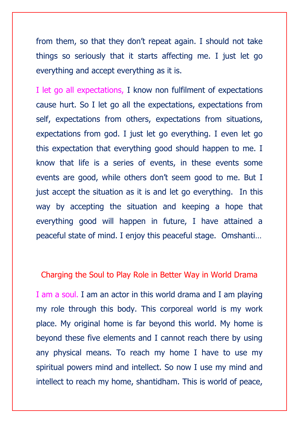from them, so that they don't repeat again. I should not take things so seriously that it starts affecting me. I just let go everything and accept everything as it is.

I let go all expectations, I know non fulfilment of expectations cause hurt. So I let go all the expectations, expectations from self, expectations from others, expectations from situations, expectations from god. I just let go everything. I even let go this expectation that everything good should happen to me. I know that life is a series of events, in these events some events are good, while others don't seem good to me. But I just accept the situation as it is and let go everything. In this way by accepting the situation and keeping a hope that everything good will happen in future, I have attained a peaceful state of mind. I enjoy this peaceful stage. Omshanti…

#### Charging the Soul to Play Role in Better Way in World Drama

I am a soul. I am an actor in this world drama and I am playing my role through this body. This corporeal world is my work place. My original home is far beyond this world. My home is beyond these five elements and I cannot reach there by using any physical means. To reach my home I have to use my spiritual powers mind and intellect. So now I use my mind and intellect to reach my home, shantidham. This is world of peace,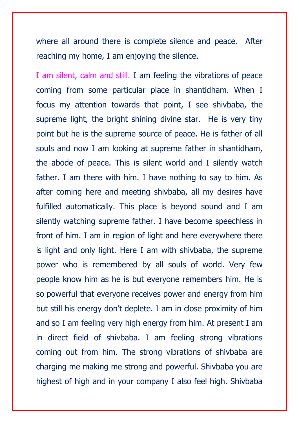where all around there is complete silence and peace. After reaching my home, I am enjoying the silence.

I am silent, calm and still. I am feeling the vibrations of peace coming from some particular place in shantidham. When I focus my attention towards that point, I see shivbaba, the supreme light, the bright shining divine star. He is very tiny point but he is the supreme source of peace. He is father of all souls and now I am looking at supreme father in shantidham, the abode of peace. This is silent world and I silently watch father. I am there with him. I have nothing to say to him. As after coming here and meeting shivbaba, all my desires have fulfilled automatically. This place is beyond sound and I am silently watching supreme father. I have become speechless in front of him. I am in region of light and here everywhere there is light and only light. Here I am with shivbaba, the supreme power who is remembered by all souls of world. Very few people know him as he is but everyone remembers him. He is so powerful that everyone receives power and energy from him but still his energy don't deplete. I am in close proximity of him and so I am feeling very high energy from him. At present I am in direct field of shivbaba. I am feeling strong vibrations coming out from him. The strong vibrations of shivbaba are charging me making me strong and powerful. Shivbaba you are highest of high and in your company I also feel high. Shivbaba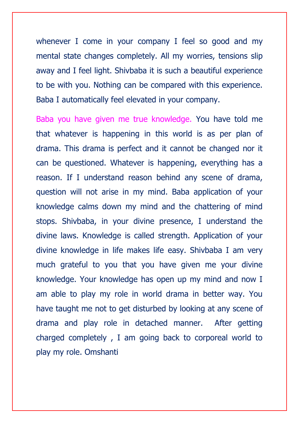whenever I come in your company I feel so good and my mental state changes completely. All my worries, tensions slip away and I feel light. Shivbaba it is such a beautiful experience to be with you. Nothing can be compared with this experience. Baba I automatically feel elevated in your company.

Baba you have given me true knowledge. You have told me that whatever is happening in this world is as per plan of drama. This drama is perfect and it cannot be changed nor it can be questioned. Whatever is happening, everything has a reason. If I understand reason behind any scene of drama, question will not arise in my mind. Baba application of your knowledge calms down my mind and the chattering of mind stops. Shivbaba, in your divine presence, I understand the divine laws. Knowledge is called strength. Application of your divine knowledge in life makes life easy. Shivbaba I am very much grateful to you that you have given me your divine knowledge. Your knowledge has open up my mind and now I am able to play my role in world drama in better way. You have taught me not to get disturbed by looking at any scene of drama and play role in detached manner. After getting charged completely , I am going back to corporeal world to play my role. Omshanti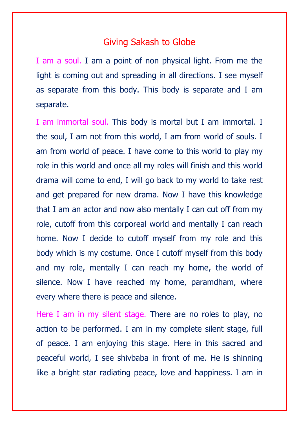#### Giving Sakash to Globe

I am a soul. I am a point of non physical light. From me the light is coming out and spreading in all directions. I see myself as separate from this body. This body is separate and I am separate.

I am immortal soul. This body is mortal but I am immortal. I the soul, I am not from this world, I am from world of souls. I am from world of peace. I have come to this world to play my role in this world and once all my roles will finish and this world drama will come to end, I will go back to my world to take rest and get prepared for new drama. Now I have this knowledge that I am an actor and now also mentally I can cut off from my role, cutoff from this corporeal world and mentally I can reach home. Now I decide to cutoff myself from my role and this body which is my costume. Once I cutoff myself from this body and my role, mentally I can reach my home, the world of silence. Now I have reached my home, paramdham, where every where there is peace and silence.

Here I am in my silent stage. There are no roles to play, no action to be performed. I am in my complete silent stage, full of peace. I am enjoying this stage. Here in this sacred and peaceful world, I see shivbaba in front of me. He is shinning like a bright star radiating peace, love and happiness. I am in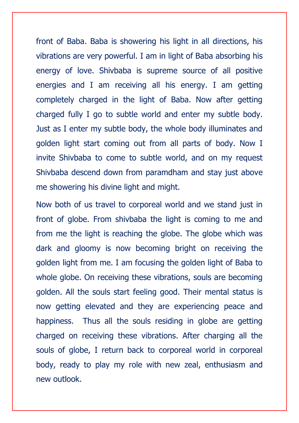front of Baba. Baba is showering his light in all directions, his vibrations are very powerful. I am in light of Baba absorbing his energy of love. Shivbaba is supreme source of all positive energies and I am receiving all his energy. I am getting completely charged in the light of Baba. Now after getting charged fully I go to subtle world and enter my subtle body. Just as I enter my subtle body, the whole body illuminates and golden light start coming out from all parts of body. Now I invite Shivbaba to come to subtle world, and on my request Shivbaba descend down from paramdham and stay just above me showering his divine light and might.

Now both of us travel to corporeal world and we stand just in front of globe. From shivbaba the light is coming to me and from me the light is reaching the globe. The globe which was dark and gloomy is now becoming bright on receiving the golden light from me. I am focusing the golden light of Baba to whole globe. On receiving these vibrations, souls are becoming golden. All the souls start feeling good. Their mental status is now getting elevated and they are experiencing peace and happiness. Thus all the souls residing in globe are getting charged on receiving these vibrations. After charging all the souls of globe, I return back to corporeal world in corporeal body, ready to play my role with new zeal, enthusiasm and new outlook.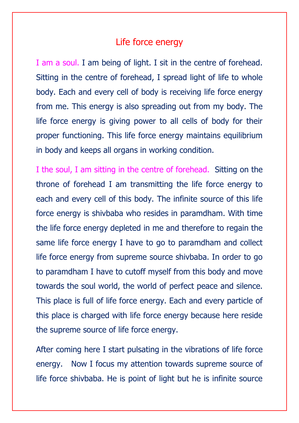### Life force energy

I am a soul. I am being of light. I sit in the centre of forehead. Sitting in the centre of forehead, I spread light of life to whole body. Each and every cell of body is receiving life force energy from me. This energy is also spreading out from my body. The life force energy is giving power to all cells of body for their proper functioning. This life force energy maintains equilibrium in body and keeps all organs in working condition.

I the soul, I am sitting in the centre of forehead. Sitting on the throne of forehead I am transmitting the life force energy to each and every cell of this body. The infinite source of this life force energy is shivbaba who resides in paramdham. With time the life force energy depleted in me and therefore to regain the same life force energy I have to go to paramdham and collect life force energy from supreme source shivbaba. In order to go to paramdham I have to cutoff myself from this body and move towards the soul world, the world of perfect peace and silence. This place is full of life force energy. Each and every particle of this place is charged with life force energy because here reside the supreme source of life force energy.

After coming here I start pulsating in the vibrations of life force energy. Now I focus my attention towards supreme source of life force shivbaba. He is point of light but he is infinite source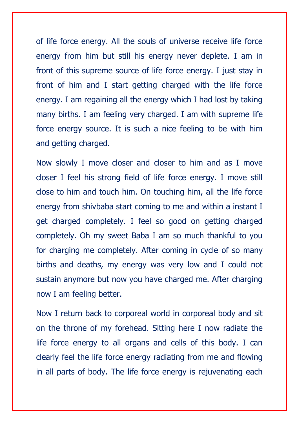of life force energy. All the souls of universe receive life force energy from him but still his energy never deplete. I am in front of this supreme source of life force energy. I just stay in front of him and I start getting charged with the life force energy. I am regaining all the energy which I had lost by taking many births. I am feeling very charged. I am with supreme life force energy source. It is such a nice feeling to be with him and getting charged.

Now slowly I move closer and closer to him and as I move closer I feel his strong field of life force energy. I move still close to him and touch him. On touching him, all the life force energy from shivbaba start coming to me and within a instant I get charged completely. I feel so good on getting charged completely. Oh my sweet Baba I am so much thankful to you for charging me completely. After coming in cycle of so many births and deaths, my energy was very low and I could not sustain anymore but now you have charged me. After charging now I am feeling better.

Now I return back to corporeal world in corporeal body and sit on the throne of my forehead. Sitting here I now radiate the life force energy to all organs and cells of this body. I can clearly feel the life force energy radiating from me and flowing in all parts of body. The life force energy is rejuvenating each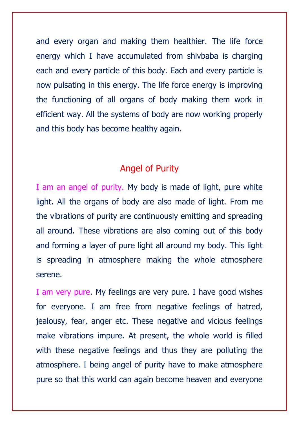and every organ and making them healthier. The life force energy which I have accumulated from shivbaba is charging each and every particle of this body. Each and every particle is now pulsating in this energy. The life force energy is improving the functioning of all organs of body making them work in efficient way. All the systems of body are now working properly and this body has become healthy again.

## Angel of Purity

I am an angel of purity. My body is made of light, pure white light. All the organs of body are also made of light. From me the vibrations of purity are continuously emitting and spreading all around. These vibrations are also coming out of this body and forming a layer of pure light all around my body. This light is spreading in atmosphere making the whole atmosphere serene.

I am very pure. My feelings are very pure. I have good wishes for everyone. I am free from negative feelings of hatred, jealousy, fear, anger etc. These negative and vicious feelings make vibrations impure. At present, the whole world is filled with these negative feelings and thus they are polluting the atmosphere. I being angel of purity have to make atmosphere pure so that this world can again become heaven and everyone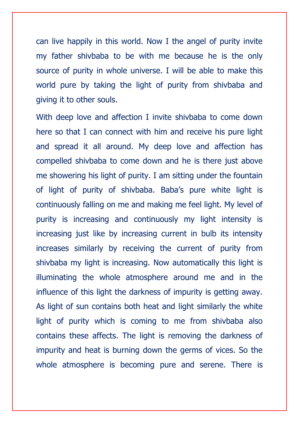can live happily in this world. Now I the angel of purity invite my father shivbaba to be with me because he is the only source of purity in whole universe. I will be able to make this world pure by taking the light of purity from shivbaba and giving it to other souls.

With deep love and affection I invite shivbaba to come down here so that I can connect with him and receive his pure light and spread it all around. My deep love and affection has compelled shivbaba to come down and he is there just above me showering his light of purity. I am sitting under the fountain of light of purity of shivbaba. Baba's pure white light is continuously falling on me and making me feel light. My level of purity is increasing and continuously my light intensity is increasing just like by increasing current in bulb its intensity increases similarly by receiving the current of purity from shivbaba my light is increasing. Now automatically this light is illuminating the whole atmosphere around me and in the influence of this light the darkness of impurity is getting away. As light of sun contains both heat and light similarly the white light of purity which is coming to me from shivbaba also contains these affects. The light is removing the darkness of impurity and heat is burning down the germs of vices. So the whole atmosphere is becoming pure and serene. There is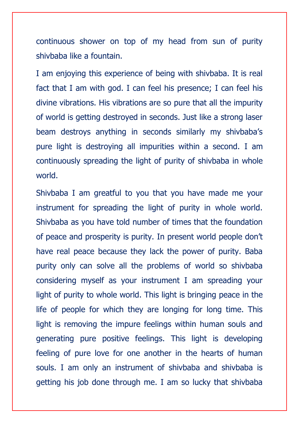continuous shower on top of my head from sun of purity shivbaba like a fountain.

I am enjoying this experience of being with shivbaba. It is real fact that I am with god. I can feel his presence; I can feel his divine vibrations. His vibrations are so pure that all the impurity of world is getting destroyed in seconds. Just like a strong laser beam destroys anything in seconds similarly my shivbaba's pure light is destroying all impurities within a second. I am continuously spreading the light of purity of shivbaba in whole world.

Shivbaba I am greatful to you that you have made me your instrument for spreading the light of purity in whole world. Shivbaba as you have told number of times that the foundation of peace and prosperity is purity. In present world people don't have real peace because they lack the power of purity. Baba purity only can solve all the problems of world so shivbaba considering myself as your instrument I am spreading your light of purity to whole world. This light is bringing peace in the life of people for which they are longing for long time. This light is removing the impure feelings within human souls and generating pure positive feelings. This light is developing feeling of pure love for one another in the hearts of human souls. I am only an instrument of shivbaba and shivbaba is getting his job done through me. I am so lucky that shivbaba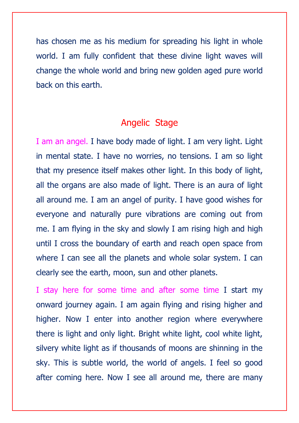has chosen me as his medium for spreading his light in whole world. I am fully confident that these divine light waves will change the whole world and bring new golden aged pure world back on this earth.

# Angelic Stage

I am an angel. I have body made of light. I am very light. Light in mental state. I have no worries, no tensions. I am so light that my presence itself makes other light. In this body of light, all the organs are also made of light. There is an aura of light all around me. I am an angel of purity. I have good wishes for everyone and naturally pure vibrations are coming out from me. I am flying in the sky and slowly I am rising high and high until I cross the boundary of earth and reach open space from where I can see all the planets and whole solar system. I can clearly see the earth, moon, sun and other planets.

I stay here for some time and after some time I start my onward journey again. I am again flying and rising higher and higher. Now I enter into another region where everywhere there is light and only light. Bright white light, cool white light, silvery white light as if thousands of moons are shinning in the sky. This is subtle world, the world of angels. I feel so good after coming here. Now I see all around me, there are many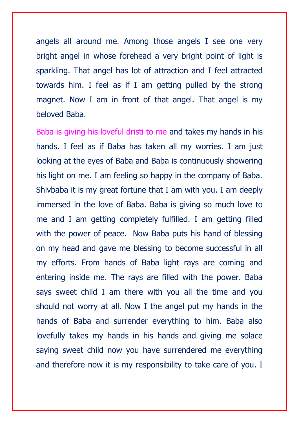angels all around me. Among those angels I see one very bright angel in whose forehead a very bright point of light is sparkling. That angel has lot of attraction and I feel attracted towards him. I feel as if I am getting pulled by the strong magnet. Now I am in front of that angel. That angel is my beloved Baba.

Baba is giving his loveful dristi to me and takes my hands in his hands. I feel as if Baba has taken all my worries. I am just looking at the eyes of Baba and Baba is continuously showering his light on me. I am feeling so happy in the company of Baba. Shivbaba it is my great fortune that I am with you. I am deeply immersed in the love of Baba. Baba is giving so much love to me and I am getting completely fulfilled. I am getting filled with the power of peace. Now Baba puts his hand of blessing on my head and gave me blessing to become successful in all my efforts. From hands of Baba light rays are coming and entering inside me. The rays are filled with the power. Baba says sweet child I am there with you all the time and you should not worry at all. Now I the angel put my hands in the hands of Baba and surrender everything to him. Baba also lovefully takes my hands in his hands and giving me solace saying sweet child now you have surrendered me everything and therefore now it is my responsibility to take care of you. I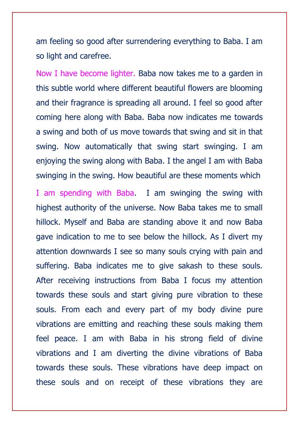am feeling so good after surrendering everything to Baba. I am so light and carefree.

Now I have become lighter. Baba now takes me to a garden in this subtle world where different beautiful flowers are blooming and their fragrance is spreading all around. I feel so good after coming here along with Baba. Baba now indicates me towards a swing and both of us move towards that swing and sit in that swing. Now automatically that swing start swinging. I am enjoying the swing along with Baba. I the angel I am with Baba swinging in the swing. How beautiful are these moments which

I am spending with Baba. I am swinging the swing with highest authority of the universe. Now Baba takes me to small hillock. Myself and Baba are standing above it and now Baba gave indication to me to see below the hillock. As I divert my attention downwards I see so many souls crying with pain and suffering. Baba indicates me to give sakash to these souls. After receiving instructions from Baba I focus my attention towards these souls and start giving pure vibration to these souls. From each and every part of my body divine pure vibrations are emitting and reaching these souls making them feel peace. I am with Baba in his strong field of divine vibrations and I am diverting the divine vibrations of Baba towards these souls. These vibrations have deep impact on these souls and on receipt of these vibrations they are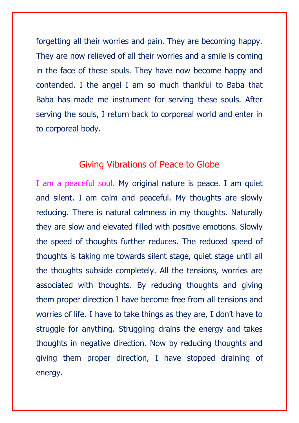forgetting all their worries and pain. They are becoming happy. They are now relieved of all their worries and a smile is coming in the face of these souls. They have now become happy and contended. I the angel I am so much thankful to Baba that Baba has made me instrument for serving these souls. After serving the souls, I return back to corporeal world and enter in to corporeal body.

# Giving Vibrations of Peace to Globe

I am a peaceful soul. My original nature is peace. I am quiet and silent. I am calm and peaceful. My thoughts are slowly reducing. There is natural calmness in my thoughts. Naturally they are slow and elevated filled with positive emotions. Slowly the speed of thoughts further reduces. The reduced speed of thoughts is taking me towards silent stage, quiet stage until all the thoughts subside completely. All the tensions, worries are associated with thoughts. By reducing thoughts and giving them proper direction I have become free from all tensions and worries of life. I have to take things as they are, I don't have to struggle for anything. Struggling drains the energy and takes thoughts in negative direction. Now by reducing thoughts and giving them proper direction, I have stopped draining of energy.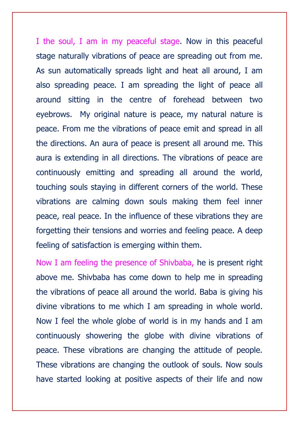I the soul, I am in my peaceful stage. Now in this peaceful stage naturally vibrations of peace are spreading out from me. As sun automatically spreads light and heat all around, I am also spreading peace. I am spreading the light of peace all around sitting in the centre of forehead between two eyebrows. My original nature is peace, my natural nature is peace. From me the vibrations of peace emit and spread in all the directions. An aura of peace is present all around me. This aura is extending in all directions. The vibrations of peace are continuously emitting and spreading all around the world, touching souls staying in different corners of the world. These vibrations are calming down souls making them feel inner peace, real peace. In the influence of these vibrations they are forgetting their tensions and worries and feeling peace. A deep feeling of satisfaction is emerging within them.

Now I am feeling the presence of Shivbaba, he is present right above me. Shivbaba has come down to help me in spreading the vibrations of peace all around the world. Baba is giving his divine vibrations to me which I am spreading in whole world. Now I feel the whole globe of world is in my hands and I am continuously showering the globe with divine vibrations of peace. These vibrations are changing the attitude of people. These vibrations are changing the outlook of souls. Now souls have started looking at positive aspects of their life and now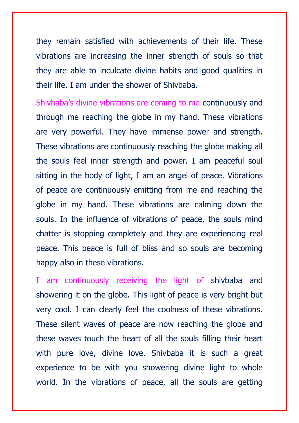they remain satisfied with achievements of their life. These vibrations are increasing the inner strength of souls so that they are able to inculcate divine habits and good qualities in their life. I am under the shower of Shivbaba.

Shivbaba's divine vibrations are coming to me continuously and through me reaching the globe in my hand. These vibrations are very powerful. They have immense power and strength. These vibrations are continuously reaching the globe making all the souls feel inner strength and power. I am peaceful soul sitting in the body of light, I am an angel of peace. Vibrations of peace are continuously emitting from me and reaching the globe in my hand. These vibrations are calming down the souls. In the influence of vibrations of peace, the souls mind chatter is stopping completely and they are experiencing real peace. This peace is full of bliss and so souls are becoming happy also in these vibrations.

I am continuously receiving the light of shivbaba and showering it on the globe. This light of peace is very bright but very cool. I can clearly feel the coolness of these vibrations. These silent waves of peace are now reaching the globe and these waves touch the heart of all the souls filling their heart with pure love, divine love. Shivbaba it is such a great experience to be with you showering divine light to whole world. In the vibrations of peace, all the souls are getting